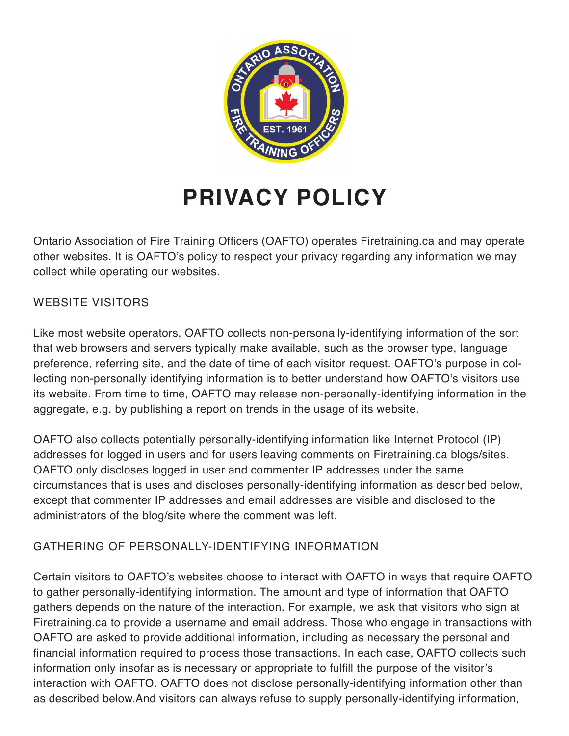

# **PRIVACY POLICY**

Ontario Association of Fire Training Officers (OAFTO) operates Firetraining.ca and may operate other websites. It is OAFTO's policy to respect your privacy regarding any information we may collect while operating our websites.

### WEBSITE VISITORS

Like most website operators, OAFTO collects non-personally-identifying information of the sort that web browsers and servers typically make available, such as the browser type, language preference, referring site, and the date of time of each visitor request. OAFTO's purpose in collecting non-personally identifying information is to better understand how OAFTO's visitors use its website. From time to time, OAFTO may release non-personally-identifying information in the aggregate, e.g. by publishing a report on trends in the usage of its website.

OAFTO also collects potentially personally-identifying information like Internet Protocol (IP) addresses for logged in users and for users leaving comments on Firetraining.ca blogs/sites. OAFTO only discloses logged in user and commenter IP addresses under the same circumstances that is uses and discloses personally-identifying information as described below, except that commenter IP addresses and email addresses are visible and disclosed to the administrators of the blog/site where the comment was left.

### GATHERING OF PERSONALLY-IDENTIFYING INFORMATION

Certain visitors to OAFTO's websites choose to interact with OAFTO in ways that require OAFTO to gather personally-identifying information. The amount and type of information that OAFTO gathers depends on the nature of the interaction. For example, we ask that visitors who sign at Firetraining.ca to provide a username and email address. Those who engage in transactions with OAFTO are asked to provide additional information, including as necessary the personal and financial information required to process those transactions. In each case, OAFTO collects such information only insofar as is necessary or appropriate to fulfill the purpose of the visitor's interaction with OAFTO. OAFTO does not disclose personally-identifying information other than as described below.And visitors can always refuse to supply personally-identifying information,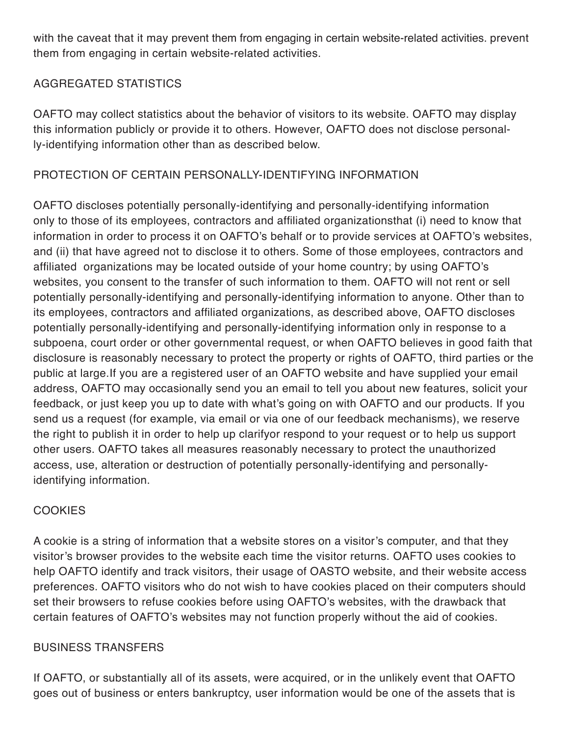with the caveat that it may prevent them from engaging in certain website-related activities. prevent them from engaging in certain website-related activities.

## AGGREGATED STATISTICS

OAFTO may collect statistics about the behavior of visitors to its website. OAFTO may display this information publicly or provide it to others. However, OAFTO does not disclose personally-identifying information other than as described below.

## PROTECTION OF CERTAIN PERSONALLY-IDENTIFYING INFORMATION

OAFTO discloses potentially personally-identifying and personally-identifying information only to those of its employees, contractors and affiliated organizationsthat (i) need to know that information in order to process it on OAFTO's behalf or to provide services at OAFTO's websites, and (ii) that have agreed not to disclose it to others. Some of those employees, contractors and affiliated organizations may be located outside of your home country; by using OAFTO's websites, you consent to the transfer of such information to them. OAFTO will not rent or sell potentially personally-identifying and personally-identifying information to anyone. Other than to its employees, contractors and affiliated organizations, as described above, OAFTO discloses potentially personally-identifying and personally-identifying information only in response to a subpoena, court order or other governmental request, or when OAFTO believes in good faith that disclosure is reasonably necessary to protect the property or rights of OAFTO, third parties or the public at large.If you are a registered user of an OAFTO website and have supplied your email address, OAFTO may occasionally send you an email to tell you about new features, solicit your feedback, or just keep you up to date with what's going on with OAFTO and our products. If you send us a request (for example, via email or via one of our feedback mechanisms), we reserve the right to publish it in order to help up clarifyor respond to your request or to help us support other users. OAFTO takes all measures reasonably necessary to protect the unauthorized access, use, alteration or destruction of potentially personally-identifying and personallyidentifying information.

### COOKIES

A cookie is a string of information that a website stores on a visitor's computer, and that they visitor's browser provides to the website each time the visitor returns. OAFTO uses cookies to help OAFTO identify and track visitors, their usage of OASTO website, and their website access preferences. OAFTO visitors who do not wish to have cookies placed on their computers should set their browsers to refuse cookies before using OAFTO's websites, with the drawback that certain features of OAFTO's websites may not function properly without the aid of cookies.

### BUSINESS TRANSFERS

If OAFTO, or substantially all of its assets, were acquired, or in the unlikely event that OAFTO goes out of business or enters bankruptcy, user information would be one of the assets that is